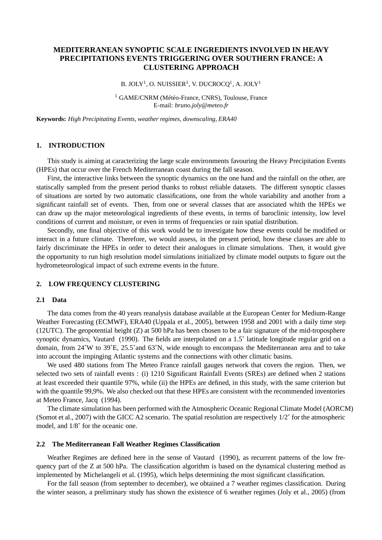# **MEDITERRANEAN SYNOPTIC SCALE INGREDIENTS INVOLVED IN HEAVY PRECIPITATIONS EVENTS TRIGGERING OVER SOUTHERN FRANCE: A CLUSTERING APPROACH**

B. JOLY $^1$ , O. NUISSIER $^1$ , V. DUCROCQ $^1$ , A. JOLY $^1$ 

<sup>1</sup> GAME/CNRM (Météo-France, CNRS), Toulouse, France E-mail: *bruno.joly@meteo.fr*

**Keywords:** *High Precipitating Events, weather regimes, downscaling, ERA40*

# **1. INTRODUCTION**

This study is aiming at caracterizing the large scale environments favouring the Heavy Precipitation Events (HPEs) that occur over the French Mediterranean coast during the fall season.

First, the interactive links between the synoptic dynamics on the one hand and the rainfall on the other, are statiscally sampled from the present period thanks to robust reliable datasets. The different synoptic classes of situations are sorted by two automatic classifications, one from the whole variability and another from a significant rainfall set of events. Then, from one or several classes that are associated whith the HPEs we can draw up the major meteorological ingredients of these events, in terms of baroclinic intensity, low level conditions of current and moisture, or even in terms of frequencies or rain spatial distribution.

Secondly, one final objective of this work would be to investigate how these events could be modified or interact in a future climate. Therefore, we would assess, in the present period, how these classes are able to fairly discriminate the HPEs in order to detect their analogues in climate simulations. Then, it would give the opportunity to run high resolution model simulations initialized by climate model outputs to figure out the hydrometeorological impact of such extreme events in the future.

## **2. LOW FREQUENCY CLUSTERING**

### **2.1 Data**

The data comes from the 40 years reanalysis database available at the European Center for Medium-Range Weather Forecasting (ECMWF), ERA40 (Uppala et al., 2005), between 1958 and 2001 with a daily time step (12UTC). The geopotential height (Z) at 500 hPa has been chosen to be a fair signature of the mid-troposphere synoptic dynamics, Vautard (1990). The fields are interpolated on a 1.5° latitude longitude regular grid on a domain, from 24˚W to 39˚E, 25.5˚and 63˚N, wide enough to encompass the Mediterranean area and to take into account the impinging Atlantic systems and the connections with other climatic basins.

We used 480 stations from The Meteo France rainfall gauges network that covers the region. Then, we selected two sets of rainfall events : (i) 1210 Significant Rainfall Events (SREs) are defined when 2 stations at least exceeded their quantile 97%, while (ii) the HPEs are defined, in this study, with the same criterion but with the quantile 99,9%. We also checked out that these HPEs are consistent with the recommended inventories at Meteo France, Jacq (1994).

The climate simulation has been performed with the Atmospheric Oceanic Regional Climate Model (AORCM) (Somot et al., 2007) with the GICC A2 scenario. The spatial resolution are respectively 1/2˚ for the atmospheric model, and 1/8˚ for the oceanic one.

#### **2.2 The Mediterranean Fall Weather Regimes Classification**

Weather Regimes are defined here in the sense of Vautard (1990), as recurrent patterns of the low frequency part of the Z at 500 hPa. The classification algorithm is based on the dynamical clustering method as implemented by Michelangeli et al. (1995), which helps determining the most significant classification.

For the fall season (from september to december), we obtained a 7 weather regimes classification. During the winter season, a preliminary study has shown the existence of 6 weather regimes (Joly et al., 2005) (from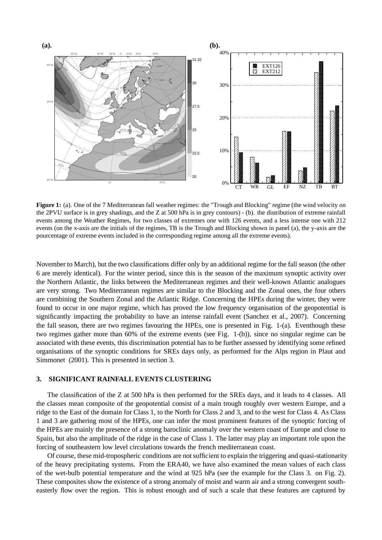

**Figure 1:** (a). One of the 7 Mediterranean fall weather regimes: the "Trough and Blocking" regime (the wind velocity on the 2PVU surface is in grey shadings, and the Z at 500 hPa is in grey contours) - (b). the distribution of extreme rainfall events among the Weather Regimes, for two classes of extremes one with 126 events, and a less intense one with 212 events (on the x-axis are the initials of the regimes, TB is the Trough and Blocking shown in panel (a), the y-axis are the pourcentage of extreme events included in the corresponding regime among all the extreme events).

November to March), but the two classifications differ only by an additional regime for the fall season (the other 6 are merely identical). For the winter period, since this is the season of the maximum synoptic activity over the Northern Atlantic, the links between the Mediterranean regimes and their well-known Atlantic analogues are very strong. Two Mediterranean regimes are similar to the Blocking and the Zonal ones, the four others are combining the Southern Zonal and the Atlantic Ridge. Concerning the HPEs during the winter, they were found to occur in one major regime, which has proved the low frequency organisation of the geopotential is significantly impacting the probability to have an intense rainfall event (Sanchez et al., 2007). Concerning the fall season, there are two regimes favouring the HPEs, one is presented in Fig. 1-(a). Eventhough these two regimes gather more than 60% of the extreme events (see Fig. 1-(b)), since no singular regime can be associated with these events, this discrimination potential has to be further assessed by identifying some refined organisations of the synoptic conditions for SREs days only, as performed for the Alps region in Plaut and Simmonet (2001). This is presented in section 3.

#### **3. SIGNIFICANT RAINFALL EVENTS CLUSTERING**

The classification of the Z at 500 hPa is then performed for the SREs days, and it leads to 4 classes. All the classes mean composite of the geopotential consist of a main trough roughly over western Europe, and a ridge to the East of the domain for Class 1, to the North for Class 2 and 3, and to the west for Class 4. As Class 1 and 3 are gathering most of the HPEs, one can infer the most prominent features of the synoptic forcing of the HPEs are mainly the presence of a strong baroclinic anomaly over the western coast of Europe and close to Spain, but also the amplitude of the ridge in the case of Class 1. The latter may play an important role upon the forcing of southeastern low level circulations towards the french mediterranean coast.

Of course, these mid-tropospheric conditions are not sufficient to explain the triggering and quasi-stationarity of the heavy precipitating systems. From the ERA40, we have also examined the mean values of each class of the wet-bulb potential temperature and the wind at 925 hPa (see the example for the Class 3. on Fig. 2). These composites show the existence of a strong anomaly of moist and warm air and a strong convergent southeasterly flow over the region. This is robust enough and of such a scale that these features are captured by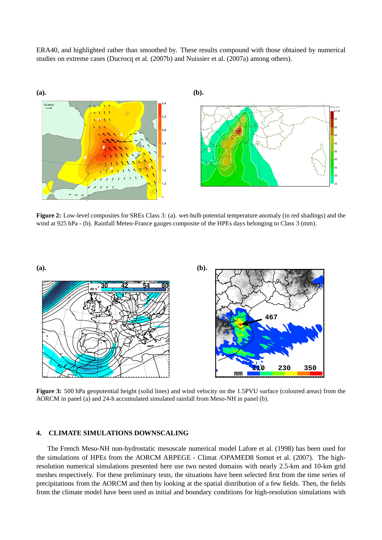ERA40, and highlighted rather than smoothed by. These results compound with those obtained by numerical studies on extreme cases (Ducrocq et al. (2007b) and Nuissier et al. (2007a) among others).



**Figure 2:** Low-level composites for SREs Class 3: (a). wet-bulb potential temperature anomaly (in red shadings) and the wind at 925 hPa - (b). Rainfall Meteo-France gauges composite of the HPEs days belonging to Class 3 (mm).



**Figure 3:** 500 hPa geopotential height (solid lines) and wind velocity on the 1.5PVU surface (coloured areas) from the AORCM in panel (a) and 24-h accumulated simulated rainfall from Meso-NH in panel (b).

# **4. CLIMATE SIMULATIONS DOWNSCALING**

The French Meso-NH non-hydrostatic mesoscale numerical model Lafore et al. (1998) has been used for the simulations of HPEs from the AORCM ARPEGE - Climat /OPAMED8 Somot et al. (2007). The highresolution numerical simulations presented here use two nested domains with nearly 2.5-km and 10-km grid meshes respectively. For these preliminary tests, the situations have been selected first from the time series of precipitations from the AORCM and then by looking at the spatial distribution of a few fields. Then, the fields from the climate model have been used as initial and boundary conditions for high-resolution simulations with